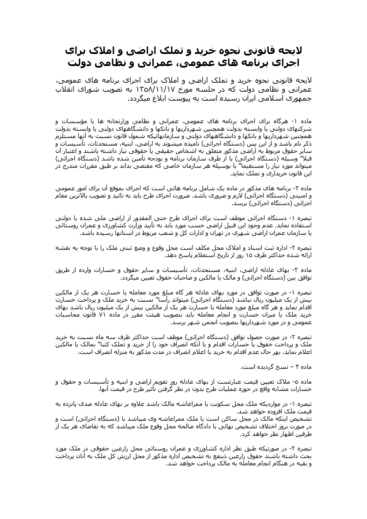## لایچه قانونی نجوه خرید و تملک اراضی و املاک برای اجرای برنامه های عمومی، عمرانی و نظامی دولت

لایحه قانونی نحوه خرید و تملک اراضی و املاک برای اجرای برنامه های عمومی، عمرانی و نظامی دولت که در جلسه مورخ ۱۳۵۸/۱۱/۱۷ به تصویب شورای انقلاب جمهوری اسلامی ایران رسیده است به پیوست ابلاغ میگردد.

ماده ۱- هرگاه برای اجرای برنامه های عمومی، عمرانی و نظامی وزارتخانه ها یا مؤسسات و شرکتهای دولتی یا وابسته بدولت همچنین شهرداریها و بانکها و دانشگاههای دولتی یا وابسته بدولت همچنین شهرداریها و بانکها و دانشگاههای دولتی و سازمانهائیکه شمول قانون نسبت به آنها مستلزم ذکر نام باشد و از این پس (دستگاه اجرائی) نامیده میشوند به اراضی، ابنیه، مستحدثات، تأسیسات و سایر حقوق مربوط به اراضی مذکور متعلق به اشخاص حقیقی یا حقوقی نیاز داشته باشند و اعتبار آن قبلا" وسیله (دستگاه اجرائی) یا از طرف سازمان برنامه و بودجه تأمین شده باشد (دستگاه اجرائی) میتواند مورد نیاز را مستقیما" یا بوسـیله هر سـازمان خاصی که مقتضی بداند بر طبق مقررات مندرج در این قانون خریدارک و تملک نماید.

ماده ۲- برنامه های مذکور در ماده یک شامل برنامه هائی است که اجرای بموقع آن برای امور عمومی و امنیتی (دستگاه اجرائی) لازم و ضروری باشد. ضرورت اجرای طرح باید به تائید و تصویب بالاترین مقام اجرائی (دستگاه اجرائی) برسد.

تبصره ۱- دستگاه اجرائی موظف است برای اجرای طرح حتی المقدور از اراضی ملی شده یا دولتی اسـتفاده نمايد. عدم وجود اين قبيل اراضي حسـب مورد بايد به تأييد وزارت كشـاورزک و عمران روسـتائي یا سازمان عمران اراضی شـهرک در تهران و ادارات کل و شـعب مربوط در اسـتانها رسـیده باشـد.

تبصره ۲- اداره ثبت اسـناد و املاک محل مکلف اسـت محل وقوع و وضع ثبتی ملک را با توجه به نقشـه ارائه شده حداکثر ظرف ۱۵ روز از تاریخ استعلام پاسخ دهد.

ماده ۳- بهای عادله اراضی، ابنیه، مستحدثات، تأسیسات و سایر حقوق و خسارات وارده از طریق توافق بین (دستگاه اجرائبی) و مالک یا مالکین و صاحبان حقوق تعیین میگردد.

تبصره ۱- در صورت توافق در مورد بهای عادله هر گاه مبلغ مورد معامله یا خسارت هر یک از مالکین بیش از یک میلیون ریال نباشد (دستگاه اجرائبی) میتواند رأسا" نسبت به خرید ملک و پرداخت خسارت اقدام نماید و هر گاه مبلغ مورد معامله یا خسارت هر یک از مالکین بیش از یک میلیون ریال باشد بهای خرید ملک یا میزان خسارت و انجام معامله باید بتصویب هیئت مقرر در ماده ۷۱ قانون محاسبات عمومی و در مورد شـهرداریها بتصویب انجمن شـهر برسـد.

تبصره ۲- در صورت حصول توافق (دستگاه اجرائی) موظف است حداکثر ظرف سه ماه نسبت به خرید ملک و پرداخت حقوق یا خسارات اقدام و یا آنکه انصراف خود را از خرید و تملک کتبا" بمالک یا مالکین اعلام نماید. بهر حال عدم اقدام به خرید یا اعلام انصراف در مدت مذکور به منزله انصراف است.

ماده ۴ – نسخ گردیده است.

ماده ٥- ملاک تعیین قیمت عبارتست از بهای عادله روز تقویم اراضی و ابنیه و تأسیسات و حقوق و خسارات مشابه واقع در حوزه عمليات طرح بدون در نظر گرفتن تأثير طرح در قيمت آنها.

تبصره ۱- در مواردیکه ملک محل سکونت یا ممراعاشه مالک باشد علاوه بر بهای عادله صدی پانزده به قیمت ملک افزوده خواهد شد.

تشخیص اینکه مالک در محل ساکن است یا ملک ممراعاشه وک میباشد با (دستگاه اجرائی) است و در صورت بروز اختلاف تشـخیص نهائی با دادگاه صالحه محل وقوع ملک میباشد که به تقاضای هر یک از طرفین اظهار نظر خواهد کرد.

تبصره ۲- در صورتیکه طبق نظر اداره کشـاورزی و عمران روسـتائی محل زارعین حقوقی در ملک مورد بحث داشته باشند حقوق زارعين ذينفع به تشخيص اداره مذكور از محل ارزش كل ملک به آنان پرداخت و بقیه در هنگام انجام معامله به مالک پرداخت خواهد شد.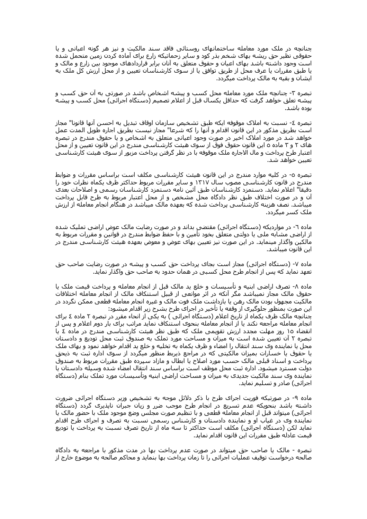چنانچه در ملک مورد معامله ساختمانهای روستائی فاقد سند مالکیت و نیز هر گونه اعیانی و یا حقوقی نظیر حق ریشه بهای شخم بذر کود و سایر زحماتیکه زارع برای آماده کردن زمین متحمل شده است وجود داشته باشد بهای اعیان و حقوق متعلق به انان برابر قراردادهای موجود بین زارع و مالک و یا طبق مقررات یا عرف محل از طریق توافق یا از سوک کارشناسان تعیین و از محل ارزش کل ملک به ایشان و بقیه به مالک پرداخت میگردد.

تبصره ۳- چنانچه ملک مورد معامله محل کسب و پیشه اشخاص باشد در صورتی به آن حق کسب و پیشه تعلق خواهد گرفت که حداقل یکسال قبل از اعلام تصمیم (دستگاه اجرائی) محل کسب و پیشه بوده باشد.

تبصره ٤- نسبت به املاک موقوفه ایکه طبق تشخیص سازمان اوقاف تبدیل به احسـن آنها قانونا" مجاز است بطريق مذكور در اين قانون اقدام و آنها را كه شرعا" مجاز نيست بطريق اجاره طويل المدت عمل خواهد شد در مورد املاک اخیر در صورت وجود اعیانی متعلق به اشخاص و یا حقوق مندرج در تبصره هاک ۲ و ۳ ماده ۵ این قانون حقوق فوق از سوک هیئت کارشناسـی مندرج در این قانون تعیین و از محل اعتبار طرح پرداخت و مال الاجاره ملک موقوفه با در نظر گرفتن پرداخت مزبور از سـوک هـیئت کارشـناسـی تعیین خواهد شد.

تبصره ٥- در کلیه موارد مندرج در این قانون هیئت کارشناسـی مکلف اسـت براسـاس مقررات و ضوابط مندرج در قانون کارشـناسـی مصوب سـال ۱۳۱۷ و سـایر مقررات مربوط حداکثر ظرف یکماه نظرات خود را دقیقا" اعلام نماید. دستمزد کارشناسان طبق آئین نامه دستمزد کارشناسان رسمی و اصلاحات بعدی آن و در صورت اختلاف طبق نظر دادگاه محل مشخص و از محل اعتبار مربوط به طرح قابل پرداخت میباشد. نصف هزینه کارشناسپی پرداخت شده که بعهده مالک میباشد در هنگام انجام معامله از ارزش ملک کسر میگردد.

ماده ٦- در مواردیکه (دستگاه اجرائی) مقتضی بداند و در صورت رضایت مالک عوض اراضی تملیک شده از اراضي مشابه ملي يا دولتي متعلق بخود تأمين و با حفظ ضوابط مندرج در قوانين و مقررات مربوط به مالکین واگذار مینماید. در این صورت نیز تعیین بهای عوض و معوض بعهده هیئت کارشناسـی مندرج در این قانون میباشد.

ماده ۷- (دستگاه اجرائی) مجاز است بجای پرداخت حق کسب و پیشه در صورت رضایت صاحب حق تعهد نمايد كه پس از انجام طرح محل كسببي در همان حدود به صاحب حق واگذار نمايد.

ماده ۸- تصرف اراضی ابنیه و تأسیسات و خلع ید مالک قبل از انجام معامله و پرداخت قیمت ملک یا حقوق مالک مجاز نمیباشد مگر آنکه در اثر موانعی از قبیل استنکاف مالک از انجام معامله اختلافات مالکیت مجهول بودن مالک رهن یا بازداشت ملک فوت مالک و غیره انجام معامله قطعی ممکن نگردد در این صورت بمنظور جلوگیری از وقفه یا تأخیر در اجرای طرح بشرح زیر اقدام میشود:

چنانچه مالک ظرف یکماه از تاریخ اعلام (دستگاه اجرائی ) به یکی از انحاء مقرر در تبصره ۲ ماده ٤ براک انجام معامله مراجعه نکند یا از انجام معامله بنحوک استنکاف نماید مراتب براک بار دوم اعلام و پس از انقضاء ۱۵ روز مهلت مجدد ارزش تقویمی ملک که طبق نظر هیئت کارشناسـی مندرج در ماده ٤ یا تبصره ۲ آن تعیین شده است به میزان و مساحت مورد تملک به صندوق ثبت محل تودیع و دادستان محل یا نماینده وک سـند انتقال را امضاء و ظرف یکماه به تخلیه و خلع ید اقدام خواهد نمود و بهاک ملک یا حقوق یا خسارات بمیزان مالکیتی که در مراجع ذیربط منظور میگردد از سوک اداره ثبت به ذیحق پرداخت و اسـناد قبلـي مالـک حسـب مورد اصلاح يا ابطال و مازاد سـپرده طبق مقررات مربوط به صندوق دولت مسترد ميشود. اداره ثبت محل موظف است براساس سند انتقال امضاء شده وسيله دادستان يا نماینده وک سند مالکیت جدیدک به میزان و مساحت اراضی ابنیه وتأسیسات مورد تملک بنام (دستگاه اجرائی) صادر و تسلیم نماید.

ماده ۹- در صورتیکه فوریت اجرای طرح با ذکر دلائل موجه به تشخیص وزیر دستگاه اجرائی ضرورت داشته باشد بنحویکه عدم تسریع در انجام طرح موجب ضرر و زیان جبران ناپذیرک گردد (دستگاه اجرائی) میتواند قبل از انجام معامله قطعی و با تنظیم صورت مجلس وضع موجود ملک با حضور مالک یا نماینده وک در غیاب او و نماینده دادستان و کارشناس رسمی نسبت به تصرف و اجرای طرح اقدام نمايد لكن (دستگاه اجرائي) مكلف است حداكثر تا سه ماه از تاريخ تصرف نسبت به پرداخت يا توديع قيمت عادله طبق مقررات اين قانون اقدام نمايد.

تبصره - مالک یا صاحب حق میتواند در صورت عدم پرداخت بها در مدت مذکور با مراجعه به دادگاه صالحه درخواست توقیف عملیات اجرائی را تا زمان پرداخت بها بنماید و محاکم صالحه به موضوع خارج از